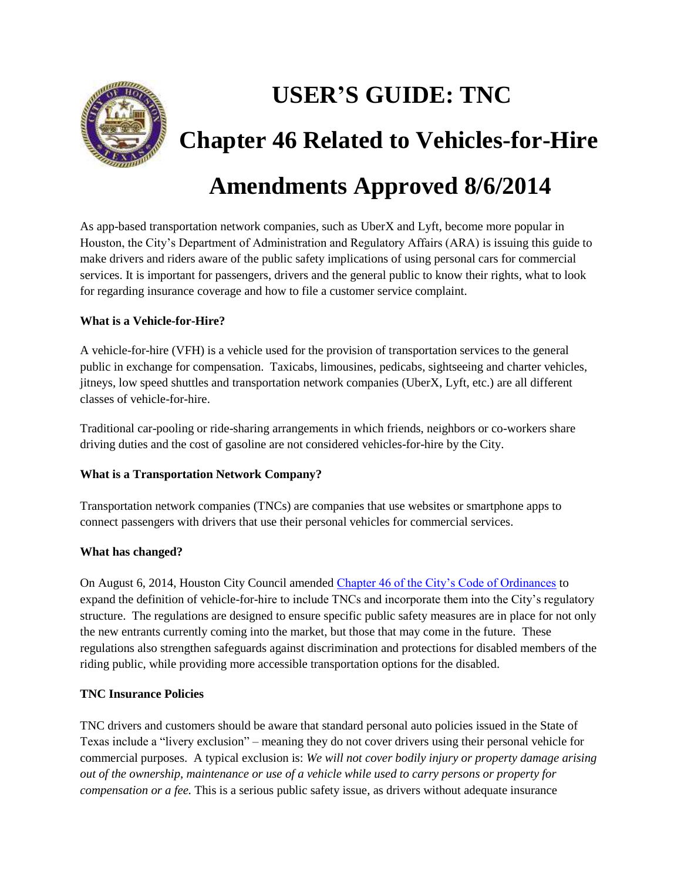

# **USER'S GUIDE: TNC Chapter 46 Related to Vehicles-for-Hire**

# **Amendments Approved 8/6/2014**

As app-based transportation network companies, such as UberX and Lyft, become more popular in Houston, the City's Department of Administration and Regulatory Affairs (ARA) is issuing this guide to make drivers and riders aware of the public safety implications of using personal cars for commercial services. It is important for passengers, drivers and the general public to know their rights, what to look for regarding insurance coverage and how to file a customer service complaint.

# **What is a Vehicle-for-Hire?**

A vehicle-for-hire (VFH) is a vehicle used for the provision of transportation services to the general public in exchange for compensation. Taxicabs, limousines, pedicabs, sightseeing and charter vehicles, jitneys, low speed shuttles and transportation network companies (UberX, Lyft, etc.) are all different classes of vehicle-for-hire.

Traditional car-pooling or ride-sharing arrangements in which friends, neighbors or co-workers share driving duties and the cost of gasoline are not considered vehicles-for-hire by the City.

# **What is a Transportation Network Company?**

Transportation network companies (TNCs) are companies that use websites or smartphone apps to connect passengers with drivers that use their personal vehicles for commercial services.

# **What has changed?**

On August 6, 2014, Houston City Council amended [Chapter 46 of the City's Code of Ordinances](http://www.houstontx.gov/ara/2014-754.pdf) to expand the definition of vehicle-for-hire to include TNCs and incorporate them into the City's regulatory structure. The regulations are designed to ensure specific public safety measures are in place for not only the new entrants currently coming into the market, but those that may come in the future. These regulations also strengthen safeguards against discrimination and protections for disabled members of the riding public, while providing more accessible transportation options for the disabled.

# **TNC Insurance Policies**

TNC drivers and customers should be aware that standard personal auto policies issued in the State of Texas include a "livery exclusion" – meaning they do not cover drivers using their personal vehicle for commercial purposes. A typical exclusion is: *We will not cover bodily injury or property damage arising out of the ownership, maintenance or use of a vehicle while used to carry persons or property for compensation or a fee.* This is a serious public safety issue, as drivers without adequate insurance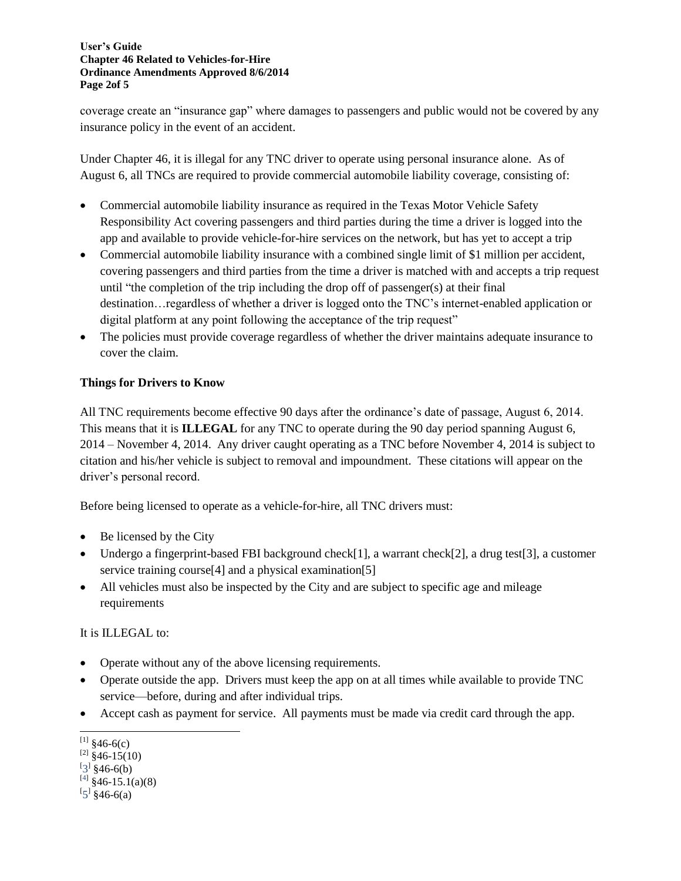#### **User's Guide Chapter 46 Related to Vehicles-for-Hire Ordinance Amendments Approved 8/6/2014 Page 2of 5**

coverage create an "insurance gap" where damages to passengers and public would not be covered by any insurance policy in the event of an accident.

Under Chapter 46, it is illegal for any TNC driver to operate using personal insurance alone. As of August 6, all TNCs are required to provide commercial automobile liability coverage, consisting of:

- Commercial automobile liability insurance as required in the Texas Motor Vehicle Safety Responsibility Act covering passengers and third parties during the time a driver is logged into the app and available to provide vehicle-for-hire services on the network, but has yet to accept a trip
- Commercial automobile liability insurance with a combined single limit of \$1 million per accident, covering passengers and third parties from the time a driver is matched with and accepts a trip request until "the completion of the trip including the drop off of passenger(s) at their final destination…regardless of whether a driver is logged onto the TNC's internet-enabled application or digital platform at any point following the acceptance of the trip request"
- The policies must provide coverage regardless of whether the driver maintains adequate insurance to cover the claim.

# **Things for Drivers to Know**

All TNC requirements become effective 90 days after the ordinance's date of passage, August 6, 2014. This means that it is **ILLEGAL** for any TNC to operate during the 90 day period spanning August 6, 2014 – November 4, 2014. Any driver caught operating as a TNC before November 4, 2014 is subject to citation and his/her vehicle is subject to removal and impoundment. These citations will appear on the driver's personal record.

Before being licensed to operate as a vehicle-for-hire, all TNC drivers must:

- $\bullet$  Be licensed by the City
- Undergo a fingerprint-based FBI background check[1], a warrant check[2], a drug test[3], a customer service training course<sup>[4]</sup> and a physical examination<sup>[5]</sup>
- All vehicles must also be inspected by the City and are subject to specific age and mileage requirements

It is ILLEGAL to:

- Operate without any of the above licensing requirements.
- Operate outside the app. Drivers must keep the app on at all times while available to provide TNC service—before, during and after individual trips.
- Accept cash as payment for service. All payments must be made via credit card through the app.

 $\overline{a}$  $^{[1]}$  §46-6(c)

 $^{[2]}$  §46-15(10)

 $[3]$  §46-6(b)

 $^{[4]}$  §46-15.1(a)(8)

 $[5]$  §46-6(a)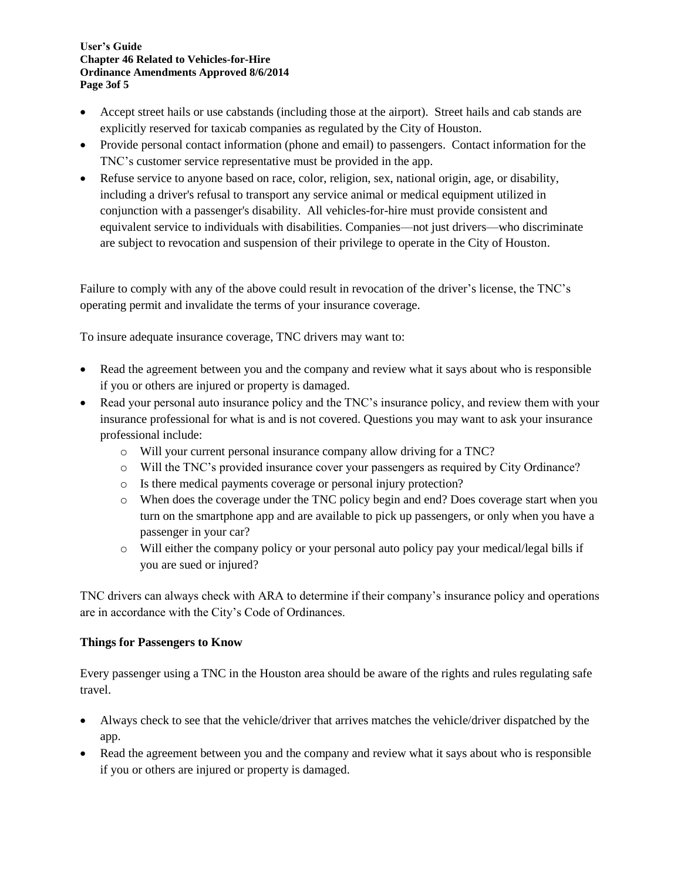#### **User's Guide Chapter 46 Related to Vehicles-for-Hire Ordinance Amendments Approved 8/6/2014 Page 3of 5**

- Accept street hails or use cabstands (including those at the airport). Street hails and cab stands are explicitly reserved for taxicab companies as regulated by the City of Houston.
- Provide personal contact information (phone and email) to passengers. Contact information for the TNC's customer service representative must be provided in the app.
- Refuse service to anyone based on race, color, religion, sex, national origin, age, or disability, including a driver's refusal to transport any service animal or medical equipment utilized in conjunction with a passenger's disability. All vehicles-for-hire must provide consistent and equivalent service to individuals with disabilities. Companies—not just drivers—who discriminate are subject to revocation and suspension of their privilege to operate in the City of Houston.

Failure to comply with any of the above could result in revocation of the driver's license, the TNC's operating permit and invalidate the terms of your insurance coverage.

To insure adequate insurance coverage, TNC drivers may want to:

- Read the agreement between you and the company and review what it says about who is responsible if you or others are injured or property is damaged.
- Read your personal auto insurance policy and the TNC's insurance policy, and review them with your insurance professional for what is and is not covered. Questions you may want to ask your insurance professional include:
	- o Will your current personal insurance company allow driving for a TNC?
	- o Will the TNC's provided insurance cover your passengers as required by City Ordinance?
	- o Is there medical payments coverage or personal injury protection?
	- o When does the coverage under the TNC policy begin and end? Does coverage start when you turn on the smartphone app and are available to pick up passengers, or only when you have a passenger in your car?
	- o Will either the company policy or your personal auto policy pay your medical/legal bills if you are sued or injured?

TNC drivers can always check with ARA to determine if their company's insurance policy and operations are in accordance with the City's Code of Ordinances.

#### **Things for Passengers to Know**

Every passenger using a TNC in the Houston area should be aware of the rights and rules regulating safe travel.

- Always check to see that the vehicle/driver that arrives matches the vehicle/driver dispatched by the app.
- Read the agreement between you and the company and review what it says about who is responsible if you or others are injured or property is damaged.